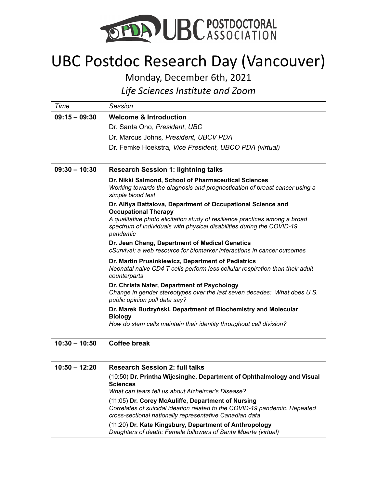

## UBC Postdoc Research Day (Vancouver)

Monday, December 6th, 2021

*Life Sciences Institute and Zoom*

| Time            | <b>Session</b>                                                                                                                                                                                                                                                   |
|-----------------|------------------------------------------------------------------------------------------------------------------------------------------------------------------------------------------------------------------------------------------------------------------|
| $09:15 - 09:30$ | <b>Welcome &amp; Introduction</b>                                                                                                                                                                                                                                |
|                 | Dr. Santa Ono, President, UBC                                                                                                                                                                                                                                    |
|                 | Dr. Marcus Johns, President, UBCV PDA                                                                                                                                                                                                                            |
|                 | Dr. Femke Hoekstra, Vice President, UBCO PDA (virtual)                                                                                                                                                                                                           |
| $09:30 - 10:30$ | <b>Research Session 1: lightning talks</b>                                                                                                                                                                                                                       |
|                 | Dr. Nikki Salmond, School of Pharmaceutical Sciences<br>Working towards the diagnosis and prognostication of breast cancer using a<br>simple blood test                                                                                                          |
|                 | Dr. Alfiya Battalova, Department of Occupational Science and<br><b>Occupational Therapy</b><br>A qualitative photo elicitation study of resilience practices among a broad<br>spectrum of individuals with physical disabilities during the COVID-19<br>pandemic |
|                 | Dr. Jean Cheng, Department of Medical Genetics<br>cSurvival: a web resource for biomarker interactions in cancer outcomes                                                                                                                                        |
|                 | Dr. Martin Prusinkiewicz, Department of Pediatrics<br>Neonatal naive CD4 T cells perform less cellular respiration than their adult<br>counterparts                                                                                                              |
|                 | Dr. Christa Nater, Department of Psychology<br>Change in gender stereotypes over the last seven decades: What does U.S.<br>public opinion poll data say?                                                                                                         |
|                 | Dr. Marek Budzyński, Department of Biochemistry and Molecular<br><b>Biology</b>                                                                                                                                                                                  |
|                 | How do stem cells maintain their identity throughout cell division?                                                                                                                                                                                              |
| $10:30 - 10:50$ | <b>Coffee break</b>                                                                                                                                                                                                                                              |
| $10:50 - 12:20$ | <b>Research Session 2: full talks</b>                                                                                                                                                                                                                            |
|                 | (10:50) Dr. Printha Wijesinghe, Department of Ophthalmology and Visual<br><b>Sciences</b>                                                                                                                                                                        |
|                 | What can tears tell us about Alzheimer's Disease?                                                                                                                                                                                                                |
|                 | (11:05) Dr. Corey McAuliffe, Department of Nursing<br>Correlates of suicidal ideation related to the COVID-19 pandemic: Repeated<br>cross-sectional nationally representative Canadian data                                                                      |

(11:20) **Dr. Kate Kingsbury, Department of Anthropology** *Daughters of death: Female followers of Santa Muerte (virtual)*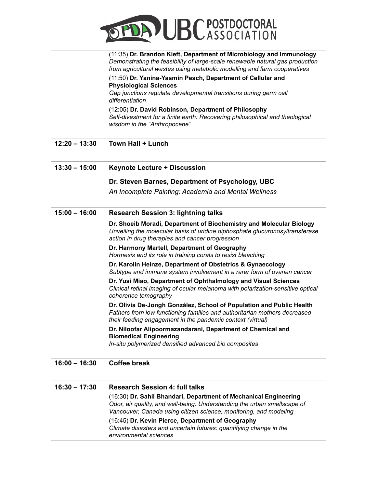

|                 | (11:35) Dr. Brandon Kieft, Department of Microbiology and Immunology<br>Demonstrating the feasibility of large-scale renewable natural gas production<br>from agricultural wastes using metabolic modelling and farm cooperatives<br>(11:50) Dr. Yanina-Yasmin Pesch, Department of Cellular and<br><b>Physiological Sciences</b><br>Gap junctions regulate developmental transitions during germ cell<br>differentiation<br>(12:05) Dr. David Robinson, Department of Philosophy<br>Self-divestment for a finite earth: Recovering philosophical and theological<br>wisdom in the "Anthropocene" |
|-----------------|---------------------------------------------------------------------------------------------------------------------------------------------------------------------------------------------------------------------------------------------------------------------------------------------------------------------------------------------------------------------------------------------------------------------------------------------------------------------------------------------------------------------------------------------------------------------------------------------------|
| $12:20 - 13:30$ | Town Hall + Lunch                                                                                                                                                                                                                                                                                                                                                                                                                                                                                                                                                                                 |
| $13:30 - 15:00$ | <b>Keynote Lecture + Discussion</b>                                                                                                                                                                                                                                                                                                                                                                                                                                                                                                                                                               |
|                 | Dr. Steven Barnes, Department of Psychology, UBC                                                                                                                                                                                                                                                                                                                                                                                                                                                                                                                                                  |
|                 | An Incomplete Painting: Academia and Mental Wellness                                                                                                                                                                                                                                                                                                                                                                                                                                                                                                                                              |
| $15:00 - 16:00$ | <b>Research Session 3: lightning talks</b>                                                                                                                                                                                                                                                                                                                                                                                                                                                                                                                                                        |
|                 | Dr. Shoeib Moradi, Department of Biochemistry and Molecular Biology<br>Unveiling the molecular basis of uridine diphosphate glucuronosyltransferase<br>action in drug therapies and cancer progression                                                                                                                                                                                                                                                                                                                                                                                            |
|                 | Dr. Harmony Martell, Department of Geography<br>Hormesis and its role in training corals to resist bleaching                                                                                                                                                                                                                                                                                                                                                                                                                                                                                      |
|                 | Dr. Karolin Heinze, Department of Obstetrics & Gynaecology<br>Subtype and immune system involvement in a rarer form of ovarian cancer                                                                                                                                                                                                                                                                                                                                                                                                                                                             |
|                 | Dr. Yusi Miao, Department of Ophthalmology and Visual Sciences<br>Clinical retinal imaging of ocular melanoma with polarization-sensitive optical<br>coherence tomography                                                                                                                                                                                                                                                                                                                                                                                                                         |
|                 | Dr. Olivia De-Jongh González, School of Population and Public Health<br>Fathers from low functioning families and authoritarian mothers decreased<br>their feeding engagement in the pandemic context (virtual)                                                                                                                                                                                                                                                                                                                                                                                   |
|                 | Dr. Niloofar Alipoormazandarani, Department of Chemical and<br><b>Biomedical Engineering</b>                                                                                                                                                                                                                                                                                                                                                                                                                                                                                                      |
|                 | In-situ polymerized densified advanced bio composites                                                                                                                                                                                                                                                                                                                                                                                                                                                                                                                                             |
| $16:00 - 16:30$ | Coffee break                                                                                                                                                                                                                                                                                                                                                                                                                                                                                                                                                                                      |
| $16:30 - 17:30$ | <b>Research Session 4: full talks</b>                                                                                                                                                                                                                                                                                                                                                                                                                                                                                                                                                             |
|                 | (16:30) Dr. Sahil Bhandari, Department of Mechanical Engineering<br>Odor, air quality, and well-being: Understanding the urban smellscape of<br>Vancouver, Canada using citizen science, monitoring, and modeling                                                                                                                                                                                                                                                                                                                                                                                 |

(16:45) **Dr. Kevin Pierce, Department of Geography** *Climate disasters and uncertain futures: quantifying change in the environmental sciences*